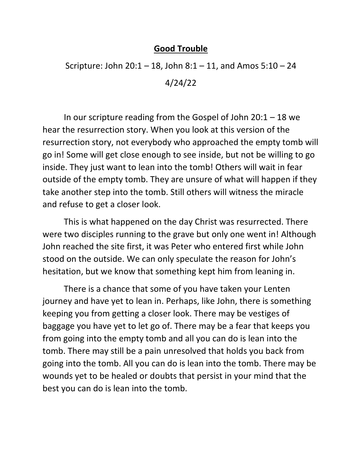## **Good Trouble**

Scripture: John  $20:1 - 18$ , John  $8:1 - 11$ , and Amos  $5:10 - 24$ 4/24/22

In our scripture reading from the Gospel of John  $20:1 - 18$  we hear the resurrection story. When you look at this version of the resurrection story, not everybody who approached the empty tomb will go in! Some will get close enough to see inside, but not be willing to go inside. They just want to lean into the tomb! Others will wait in fear outside of the empty tomb. They are unsure of what will happen if they take another step into the tomb. Still others will witness the miracle and refuse to get a closer look.

This is what happened on the day Christ was resurrected. There were two disciples running to the grave but only one went in! Although John reached the site first, it was Peter who entered first while John stood on the outside. We can only speculate the reason for John's hesitation, but we know that something kept him from leaning in.

There is a chance that some of you have taken your Lenten journey and have yet to lean in. Perhaps, like John, there is something keeping you from getting a closer look. There may be vestiges of baggage you have yet to let go of. There may be a fear that keeps you from going into the empty tomb and all you can do is lean into the tomb. There may still be a pain unresolved that holds you back from going into the tomb. All you can do is lean into the tomb. There may be wounds yet to be healed or doubts that persist in your mind that the best you can do is lean into the tomb.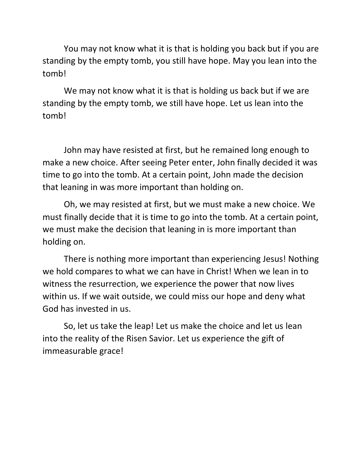You may not know what it is that is holding you back but if you are standing by the empty tomb, you still have hope. May you lean into the tomb!

We may not know what it is that is holding us back but if we are standing by the empty tomb, we still have hope. Let us lean into the tomb!

John may have resisted at first, but he remained long enough to make a new choice. After seeing Peter enter, John finally decided it was time to go into the tomb. At a certain point, John made the decision that leaning in was more important than holding on.

Oh, we may resisted at first, but we must make a new choice. We must finally decide that it is time to go into the tomb. At a certain point, we must make the decision that leaning in is more important than holding on.

There is nothing more important than experiencing Jesus! Nothing we hold compares to what we can have in Christ! When we lean in to witness the resurrection, we experience the power that now lives within us. If we wait outside, we could miss our hope and deny what God has invested in us.

So, let us take the leap! Let us make the choice and let us lean into the reality of the Risen Savior. Let us experience the gift of immeasurable grace!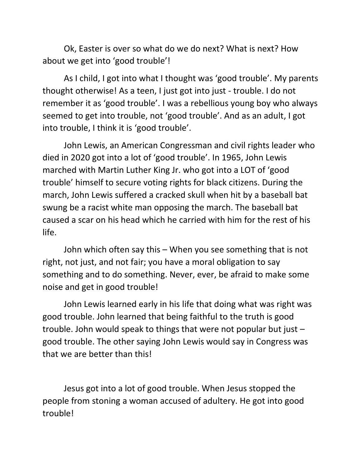Ok, Easter is over so what do we do next? What is next? How about we get into 'good trouble'!

As I child, I got into what I thought was 'good trouble'. My parents thought otherwise! As a teen, I just got into just - trouble. I do not remember it as 'good trouble'. I was a rebellious young boy who always seemed to get into trouble, not 'good trouble'. And as an adult, I got into trouble, I think it is 'good trouble'.

John Lewis, an American Congressman and civil rights leader who died in 2020 got into a lot of 'good trouble'. In 1965, John Lewis marched with Martin Luther King Jr. who got into a LOT of 'good trouble' himself to secure voting rights for black citizens. During the march, John Lewis suffered a cracked skull when hit by a baseball bat swung be a racist white man opposing the march. The baseball bat caused a scar on his head which he carried with him for the rest of his life.

John which often say this – When you see something that is not right, not just, and not fair; you have a moral obligation to say something and to do something. Never, ever, be afraid to make some noise and get in good trouble!

John Lewis learned early in his life that doing what was right was good trouble. John learned that being faithful to the truth is good trouble. John would speak to things that were not popular but just – good trouble. The other saying John Lewis would say in Congress was that we are better than this!

Jesus got into a lot of good trouble. When Jesus stopped the people from stoning a woman accused of adultery. He got into good trouble!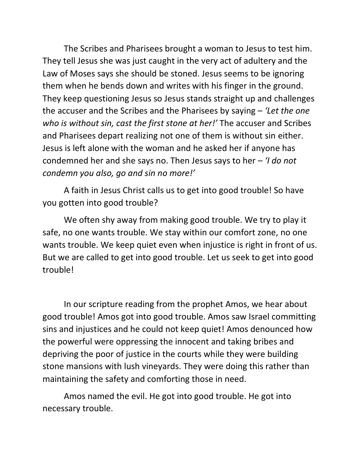The Scribes and Pharisees brought a woman to Jesus to test him. They tell Jesus she was just caught in the very act of adultery and the Law of Moses says she should be stoned. Jesus seems to be ignoring them when he bends down and writes with his finger in the ground. They keep questioning Jesus so Jesus stands straight up and challenges the accuser and the Scribes and the Pharisees by saying – *'Let the one who is without sin, cast the first stone at her!'* The accuser and Scribes and Pharisees depart realizing not one of them is without sin either. Jesus is left alone with the woman and he asked her if anyone has condemned her and she says no. Then Jesus says to her – *'I do not condemn you also, go and sin no more!'*

A faith in Jesus Christ calls us to get into good trouble! So have you gotten into good trouble?

We often shy away from making good trouble. We try to play it safe, no one wants trouble. We stay within our comfort zone, no one wants trouble. We keep quiet even when injustice is right in front of us. But we are called to get into good trouble. Let us seek to get into good trouble!

In our scripture reading from the prophet Amos, we hear about good trouble! Amos got into good trouble. Amos saw Israel committing sins and injustices and he could not keep quiet! Amos denounced how the powerful were oppressing the innocent and taking bribes and depriving the poor of justice in the courts while they were building stone mansions with lush vineyards. They were doing this rather than maintaining the safety and comforting those in need.

Amos named the evil. He got into good trouble. He got into necessary trouble.